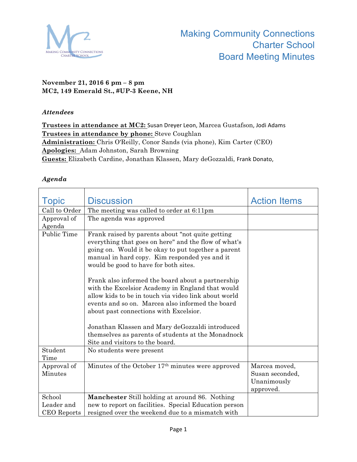

## **November 21, 2016 6 pm – 8 pm MC2, 149 Emerald St., #UP-3 Keene, NH**

## *Attendees*

Trustees in attendance at MC2: Susan Dreyer Leon, Marcea Gustafson, Jodi Adams **Trustees in attendance by phone:** Steve Coughlan **Administration:** Chris O'Reilly, Conor Sands (via phone), Kim Carter (CEO) **Apologies:** Adam Johnston, Sarah Browning **Guests:** Elizabeth Cardine, Jonathan Klassen, Mary deGozzaldi, Frank Donato,

## *Agenda*

| <b>Topic</b>       | <b>Discussion</b>                                                                                        | <b>Action Items</b> |
|--------------------|----------------------------------------------------------------------------------------------------------|---------------------|
| Call to Order      | The meeting was called to order at 6:11pm                                                                |                     |
| Approval of        | The agenda was approved                                                                                  |                     |
| Agenda             |                                                                                                          |                     |
| Public Time        | Frank raised by parents about "not quite getting"                                                        |                     |
|                    | everything that goes on here" and the flow of what's                                                     |                     |
|                    | going on. Would it be okay to put together a parent                                                      |                     |
|                    | manual in hard copy. Kim responded yes and it                                                            |                     |
|                    | would be good to have for both sites.                                                                    |                     |
|                    |                                                                                                          |                     |
|                    | Frank also informed the board about a partnership                                                        |                     |
|                    | with the Excelsior Academy in England that would                                                         |                     |
|                    | allow kids to be in touch via video link about world<br>events and so on. Marcea also informed the board |                     |
|                    | about past connections with Excelsior.                                                                   |                     |
|                    |                                                                                                          |                     |
|                    | Jonathan Klassen and Mary deGozzaldi introduced                                                          |                     |
|                    | themselves as parents of students at the Monadnock                                                       |                     |
|                    | Site and visitors to the board.                                                                          |                     |
| Student            | No students were present                                                                                 |                     |
| Time               |                                                                                                          |                     |
| Approval of        | Minutes of the October 17 <sup>th</sup> minutes were approved                                            | Marcea moved,       |
| Minutes            |                                                                                                          | Susan seconded,     |
|                    |                                                                                                          | Unanimously         |
|                    |                                                                                                          | approved.           |
| School             | <b>Manchester</b> Still holding at around 86. Nothing                                                    |                     |
| Leader and         | new to report on facilities. Special Education person                                                    |                     |
| <b>CEO</b> Reports | resigned over the weekend due to a mismatch with                                                         |                     |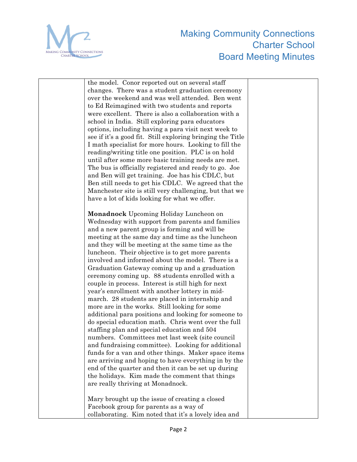

| the model. Conor reported out on several staff             |  |
|------------------------------------------------------------|--|
| changes. There was a student graduation ceremony           |  |
| over the weekend and was well attended. Ben went           |  |
| to Ed Reimagined with two students and reports             |  |
| were excellent. There is also a collaboration with a       |  |
| school in India. Still exploring para educators            |  |
| options, including having a para visit next week to        |  |
| see if it's a good fit. Still exploring bringing the Title |  |
| I math specialist for more hours. Looking to fill the      |  |
| reading/writing title one position. PLC is on hold         |  |
| until after some more basic training needs are met.        |  |
| The bus is officially registered and ready to go. Joe      |  |
| and Ben will get training. Joe has his CDLC, but           |  |
| Ben still needs to get his CDLC. We agreed that the        |  |
| Manchester site is still very challenging, but that we     |  |
| have a lot of kids looking for what we offer.              |  |
|                                                            |  |
| Monadnock Upcoming Holiday Luncheon on                     |  |
| Wednesday with support from parents and families           |  |
| and a new parent group is forming and will be              |  |
| meeting at the same day and time as the luncheon           |  |
| and they will be meeting at the same time as the           |  |
| luncheon. Their objective is to get more parents           |  |
| involved and informed about the model. There is a          |  |
| Graduation Gateway coming up and a graduation              |  |
| ceremony coming up. 88 students enrolled with a            |  |
| couple in process. Interest is still high for next         |  |
| year's enrollment with another lottery in mid-             |  |
| march. 28 students are placed in internship and            |  |
| more are in the works. Still looking for some              |  |
| additional para positions and looking for someone to       |  |
| do special education math. Chris went over the full        |  |
| staffing plan and special education and 504                |  |
| numbers. Committees met last week (site council            |  |
| and fundraising committee). Looking for additional         |  |
| funds for a van and other things. Maker space items        |  |
| are arriving and hoping to have everything in by the       |  |
| end of the quarter and then it can be set up during        |  |
| the holidays. Kim made the comment that things             |  |
| are really thriving at Monadnock.                          |  |
|                                                            |  |
| Mary brought up the issue of creating a closed             |  |
| Facebook group for parents as a way of                     |  |
| collaborating. Kim noted that it's a lovely idea and       |  |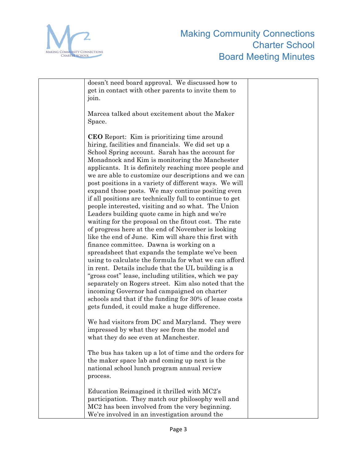

| doesn't need board approval. We discussed how to         |  |
|----------------------------------------------------------|--|
| get in contact with other parents to invite them to      |  |
| join.                                                    |  |
|                                                          |  |
| Marcea talked about excitement about the Maker           |  |
| Space.                                                   |  |
|                                                          |  |
|                                                          |  |
| <b>CEO</b> Report: Kim is prioritizing time around       |  |
| hiring, facilities and financials. We did set up a       |  |
| School Spring account. Sarah has the account for         |  |
| Monadnock and Kim is monitoring the Manchester           |  |
| applicants. It is definitely reaching more people and    |  |
| we are able to customize our descriptions and we can     |  |
| post positions in a variety of different ways. We will   |  |
| expand those posts. We may continue positing even        |  |
| if all positions are technically full to continue to get |  |
| people interested, visiting and so what. The Union       |  |
| Leaders building quote came in high and we're            |  |
| waiting for the proposal on the fitout cost. The rate    |  |
|                                                          |  |
| of progress here at the end of November is looking       |  |
| like the end of June. Kim will share this first with     |  |
| finance committee. Dawna is working on a                 |  |
| spreadsheet that expands the template we've been         |  |
| using to calculate the formula for what we can afford    |  |
| in rent. Details include that the UL building is a       |  |
| "gross cost" lease, including utilities, which we pay    |  |
| separately on Rogers street. Kim also noted that the     |  |
| incoming Governor had campaigned on charter              |  |
| schools and that if the funding for 30% of lease costs   |  |
| gets funded, it could make a huge difference.            |  |
|                                                          |  |
| We had visitors from DC and Maryland. They were          |  |
| impressed by what they see from the model and            |  |
| what they do see even at Manchester.                     |  |
|                                                          |  |
| The bus has taken up a lot of time and the orders for    |  |
|                                                          |  |
| the maker space lab and coming up next is the            |  |
| national school lunch program annual review              |  |
| process.                                                 |  |
|                                                          |  |
| Education Reimagined it thrilled with MC2's              |  |
| participation. They match our philosophy well and        |  |
| MC2 has been involved from the very beginning.           |  |
| We're involved in an investigation around the            |  |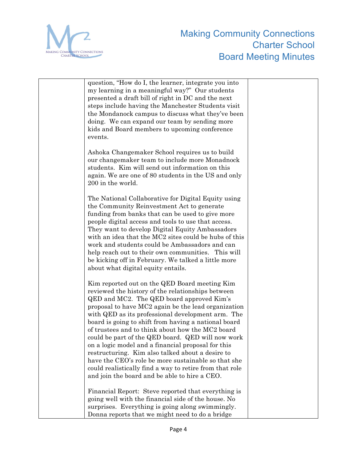

| question, "How do I, the learner, integrate you into    |  |
|---------------------------------------------------------|--|
| my learning in a meaningful way?" Our students          |  |
|                                                         |  |
| presented a draft bill of right in DC and the next      |  |
| steps include having the Manchester Students visit      |  |
| the Mondanock campus to discuss what they've been       |  |
| doing. We can expand our team by sending more           |  |
| kids and Board members to upcoming conference           |  |
| events.                                                 |  |
|                                                         |  |
| Ashoka Changemaker School requires us to build          |  |
| our changemaker team to include more Monadnock          |  |
|                                                         |  |
| students. Kim will send out information on this         |  |
| again. We are one of 80 students in the US and only     |  |
| 200 in the world.                                       |  |
|                                                         |  |
| The National Collaborative for Digital Equity using     |  |
| the Community Reinvestment Act to generate              |  |
| funding from banks that can be used to give more        |  |
| people digital access and tools to use that access.     |  |
| They want to develop Digital Equity Ambassadors         |  |
| with an idea that the MC2 sites could be hubs of this   |  |
| work and students could be Ambassadors and can          |  |
| help reach out to their own communities. This will      |  |
| be kicking off in February. We talked a little more     |  |
|                                                         |  |
| about what digital equity entails.                      |  |
|                                                         |  |
| Kim reported out on the QED Board meeting Kim           |  |
| reviewed the history of the relationships between       |  |
| QED and MC2. The QED board approved Kim's               |  |
| proposal to have MC2 again be the lead organization     |  |
| with QED as its professional development arm. The       |  |
| board is going to shift from having a national board    |  |
| of trustees and to think about how the MC2 board        |  |
| could be part of the QED board. QED will now work       |  |
| on a logic model and a financial proposal for this      |  |
| restructuring. Kim also talked about a desire to        |  |
| have the CEO's role be more sustainable so that she     |  |
| could realistically find a way to retire from that role |  |
| and join the board and be able to hire a CEO.           |  |
|                                                         |  |
| Financial Report: Steve reported that everything is     |  |
| going well with the financial side of the house. No     |  |
| surprises. Everything is going along swimmingly.        |  |
|                                                         |  |
| Donna reports that we might need to do a bridge         |  |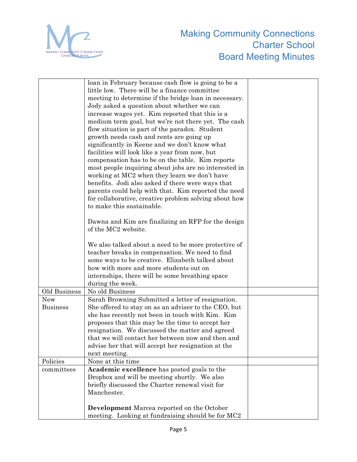

|                 | loan in February because cash flow is going to be a   |  |
|-----------------|-------------------------------------------------------|--|
|                 | little low. There will be a finance committee         |  |
|                 | meeting to determine if the bridge loan in necessary. |  |
|                 | Jody asked a question about whether we can            |  |
|                 | increase wages yet. Kim reported that this is a       |  |
|                 | medium term goal, but we're not there yet. The cash   |  |
|                 | flow situation is part of the paradox. Student        |  |
|                 | growth needs cash and rents are going up              |  |
|                 | significantly in Keene and we don't know what         |  |
|                 | facilities will look like a year from now, but        |  |
|                 | compensation has to be on the table. Kim reports      |  |
|                 | most people inquiring about jobs are no interested in |  |
|                 | working at MC2 when they learn we don't have          |  |
|                 | benefits. Jodi also asked if there were ways that     |  |
|                 | parents could help with that. Kim reported the need   |  |
|                 | for collaborative, creative problem solving about how |  |
|                 | to make this sustainable.                             |  |
|                 |                                                       |  |
|                 | Dawna and Kim are finalizing an RFP for the design    |  |
|                 | of the MC2 website.                                   |  |
|                 |                                                       |  |
|                 | We also talked about a need to be more protective of  |  |
|                 | teacher breaks in compensation. We need to find       |  |
|                 | some ways to be creative. Elizabeth talked about      |  |
|                 | how with more and more students out on                |  |
|                 | internships, there will be some breathing space       |  |
|                 | during the week.                                      |  |
| Old Business    | No old Business                                       |  |
| <b>New</b>      | Sarah Browning Submitted a letter of resignation.     |  |
| <b>Business</b> | She offered to stay on as an adviser to the CEO, but  |  |
|                 | she has recently not been in touch with Kim. Kim      |  |
|                 | proposes that this may be the time to accept her      |  |
|                 | resignation. We discussed the matter and agreed       |  |
|                 | that we will contact her between now and then and     |  |
|                 | advise her that will accept her resignation at the    |  |
|                 | next meeting.                                         |  |
| Policies        | None at this time                                     |  |
| committees      | Academic excellence has posted goals to the           |  |
|                 | Dropbox and will be meeting shortly. We also          |  |
|                 | briefly discussed the Charter renewal visit for       |  |
|                 | Manchester.                                           |  |
|                 |                                                       |  |
|                 | <b>Development</b> Marcea reported on the October     |  |
|                 | meeting. Looking at fundraising should be for MC2     |  |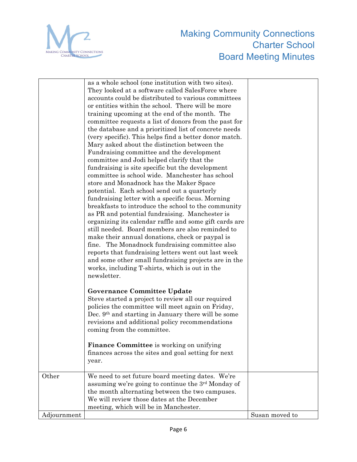

|             | as a whole school (one institution with two sites).<br>They looked at a software called SalesForce where<br>accounts could be distributed to various committees<br>or entities within the school. There will be more<br>training upcoming at the end of the month. The<br>committee requests a list of donors from the past for<br>the database and a prioritized list of concrete needs<br>(very specific). This helps find a better donor match.<br>Mary asked about the distinction between the<br>Fundraising committee and the development<br>committee and Jodi helped clarify that the<br>fundraising is site specific but the development<br>committee is school wide. Manchester has school<br>store and Monadnock has the Maker Space<br>potential. Each school send out a quarterly<br>fundraising letter with a specific focus. Morning<br>breakfasts to introduce the school to the community<br>as PR and potential fundraising. Manchester is<br>organizing its calendar raffle and some gift cards are<br>still needed. Board members are also reminded to<br>make their annual donations, check or paypal is<br>fine. The Monadnock fundraising committee also<br>reports that fundraising letters went out last week<br>and some other small fundraising projects are in the<br>works, including T-shirts, which is out in the<br>newsletter.<br><b>Governance Committee Update</b><br>Steve started a project to review all our required<br>policies the committee will meet again on Friday,<br>Dec. 9 <sup>th</sup> and starting in January there will be some<br>revisions and additional policy recommendations<br>coming from the committee.<br><b>Finance Committee</b> is working on unifying<br>finances across the sites and goal setting for next<br>year. |                |
|-------------|-----------------------------------------------------------------------------------------------------------------------------------------------------------------------------------------------------------------------------------------------------------------------------------------------------------------------------------------------------------------------------------------------------------------------------------------------------------------------------------------------------------------------------------------------------------------------------------------------------------------------------------------------------------------------------------------------------------------------------------------------------------------------------------------------------------------------------------------------------------------------------------------------------------------------------------------------------------------------------------------------------------------------------------------------------------------------------------------------------------------------------------------------------------------------------------------------------------------------------------------------------------------------------------------------------------------------------------------------------------------------------------------------------------------------------------------------------------------------------------------------------------------------------------------------------------------------------------------------------------------------------------------------------------------------------------------------------------------------------------------------------------------------------------------|----------------|
| Other       | We need to set future board meeting dates. We're                                                                                                                                                                                                                                                                                                                                                                                                                                                                                                                                                                                                                                                                                                                                                                                                                                                                                                                                                                                                                                                                                                                                                                                                                                                                                                                                                                                                                                                                                                                                                                                                                                                                                                                                        |                |
|             | assuming we're going to continue the 3rd Monday of                                                                                                                                                                                                                                                                                                                                                                                                                                                                                                                                                                                                                                                                                                                                                                                                                                                                                                                                                                                                                                                                                                                                                                                                                                                                                                                                                                                                                                                                                                                                                                                                                                                                                                                                      |                |
|             | the month alternating between the two campuses.                                                                                                                                                                                                                                                                                                                                                                                                                                                                                                                                                                                                                                                                                                                                                                                                                                                                                                                                                                                                                                                                                                                                                                                                                                                                                                                                                                                                                                                                                                                                                                                                                                                                                                                                         |                |
|             | We will review those dates at the December                                                                                                                                                                                                                                                                                                                                                                                                                                                                                                                                                                                                                                                                                                                                                                                                                                                                                                                                                                                                                                                                                                                                                                                                                                                                                                                                                                                                                                                                                                                                                                                                                                                                                                                                              |                |
|             | meeting, which will be in Manchester.                                                                                                                                                                                                                                                                                                                                                                                                                                                                                                                                                                                                                                                                                                                                                                                                                                                                                                                                                                                                                                                                                                                                                                                                                                                                                                                                                                                                                                                                                                                                                                                                                                                                                                                                                   |                |
| Adjournment |                                                                                                                                                                                                                                                                                                                                                                                                                                                                                                                                                                                                                                                                                                                                                                                                                                                                                                                                                                                                                                                                                                                                                                                                                                                                                                                                                                                                                                                                                                                                                                                                                                                                                                                                                                                         | Susan moved to |